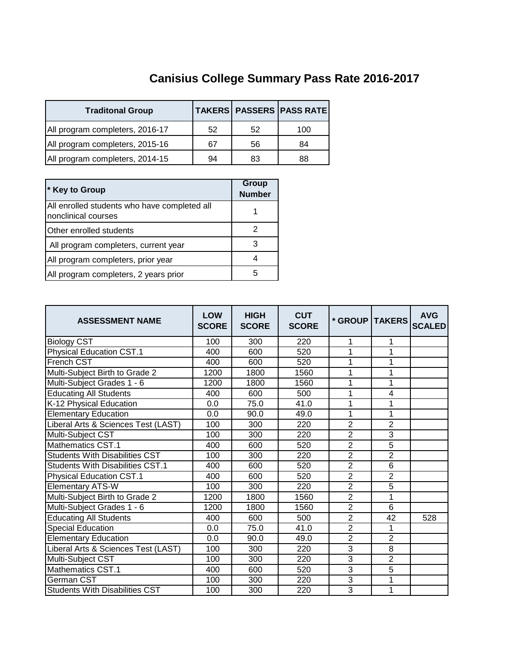## **Canisius College Summary Pass Rate 2016-2017**

| <b>Traditonal Group</b>         |    |    | <b>TAKERS PASSERS PASS RATE</b> |
|---------------------------------|----|----|---------------------------------|
| All program completers, 2016-17 | 52 | 52 | 100                             |
| All program completers, 2015-16 | 67 | 56 | 84                              |
| All program completers, 2014-15 | 94 | 83 | 88                              |

| * Key to Group                                                      | Group<br><b>Number</b> |
|---------------------------------------------------------------------|------------------------|
| All enrolled students who have completed all<br>nonclinical courses |                        |
| Other enrolled students                                             | 2                      |
| All program completers, current year                                | 3                      |
| All program completers, prior year                                  |                        |
| All program completers, 2 years prior                               | 5                      |

| <b>ASSESSMENT NAME</b>                  | <b>LOW</b><br><b>SCORE</b> | <b>HIGH</b><br><b>SCORE</b> | <b>CUT</b><br><b>SCORE</b> | * GROUP   TAKERS |                | <b>AVG</b><br><b>SCALED</b> |
|-----------------------------------------|----------------------------|-----------------------------|----------------------------|------------------|----------------|-----------------------------|
| <b>Biology CST</b>                      | 100                        | 300                         | 220                        | 1                | 1              |                             |
| <b>Physical Education CST.1</b>         | 400                        | 600                         | 520                        | 1                | 1              |                             |
| French CST                              | 400                        | 600                         | 520                        | 1                | 1              |                             |
| Multi-Subject Birth to Grade 2          | 1200                       | 1800                        | 1560                       | 1                | 1              |                             |
| Multi-Subject Grades 1 - 6              | 1200                       | 1800                        | 1560                       | 1                | 1              |                             |
| <b>Educating All Students</b>           | 400                        | 600                         | 500                        | 1                | 4              |                             |
| K-12 Physical Education                 | 0.0                        | 75.0                        | 41.0                       | 1                | 1              |                             |
| <b>Elementary Education</b>             | 0.0                        | 90.0                        | 49.0                       | 1                | 1              |                             |
| Liberal Arts & Sciences Test (LAST)     | 100                        | 300                         | 220                        | $\overline{2}$   | $\overline{2}$ |                             |
| Multi-Subject CST                       | 100                        | 300                         | 220                        | $\overline{2}$   | $\overline{3}$ |                             |
| Mathematics CST.1                       | 400                        | 600                         | 520                        | $\overline{2}$   | 5              |                             |
| <b>Students With Disabilities CST</b>   | 100                        | 300                         | 220                        | $\overline{2}$   | $\overline{2}$ |                             |
| <b>Students With Disabilities CST.1</b> | 400                        | 600                         | 520                        | $\overline{2}$   | 6              |                             |
| <b>Physical Education CST.1</b>         | 400                        | 600                         | 520                        | $\overline{2}$   | $\overline{2}$ |                             |
| <b>Elementary ATS-W</b>                 | 100                        | 300                         | 220                        | $\overline{2}$   | 5              |                             |
| Multi-Subject Birth to Grade 2          | 1200                       | 1800                        | 1560                       | $\overline{2}$   | 1              |                             |
| Multi-Subject Grades 1 - 6              | 1200                       | 1800                        | 1560                       | $\overline{2}$   | 6              |                             |
| <b>Educating All Students</b>           | 400                        | 600                         | 500                        | $\overline{2}$   | 42             | 528                         |
| <b>Special Education</b>                | 0.0                        | 75.0                        | 41.0                       | $\overline{2}$   | 1              |                             |
| <b>Elementary Education</b>             | 0.0                        | 90.0                        | 49.0                       | $\overline{2}$   | $\overline{2}$ |                             |
| Liberal Arts & Sciences Test (LAST)     | 100                        | 300                         | 220                        | 3                | 8              |                             |
| Multi-Subject CST                       | 100                        | 300                         | 220                        | $\overline{3}$   | $\overline{2}$ |                             |
| <b>Mathematics CST.1</b>                | 400                        | 600                         | 520                        | $\overline{3}$   | 5              |                             |
| German CST                              | 100                        | 300                         | 220                        | $\overline{3}$   | $\mathbf{1}$   |                             |
| <b>Students With Disabilities CST</b>   | 100                        | 300                         | 220                        | 3                | 1              |                             |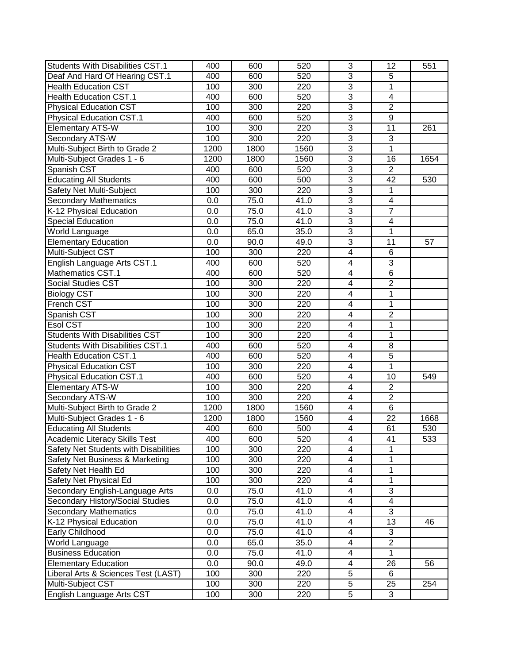| <b>Students With Disabilities CST.1</b> | 400  | 600  | 520  | 3                       | 12                      | 551  |
|-----------------------------------------|------|------|------|-------------------------|-------------------------|------|
| Deaf And Hard Of Hearing CST.1          | 400  | 600  | 520  | $\overline{3}$          | $\overline{5}$          |      |
| <b>Health Education CST</b>             | 100  | 300  | 220  | $\overline{3}$          | $\mathbf 1$             |      |
| <b>Health Education CST.1</b>           | 400  | 600  | 520  | $\overline{3}$          | 4                       |      |
| <b>Physical Education CST</b>           | 100  | 300  | 220  | $\overline{3}$          | $\overline{2}$          |      |
| <b>Physical Education CST.1</b>         | 400  | 600  | 520  | $\overline{3}$          | $\overline{9}$          |      |
| <b>Elementary ATS-W</b>                 | 100  | 300  | 220  | 3                       | 11                      | 261  |
| Secondary ATS-W                         | 100  | 300  | 220  | 3                       | 3                       |      |
| Multi-Subject Birth to Grade 2          | 1200 | 1800 | 1560 | $\overline{3}$          | 1                       |      |
| Multi-Subject Grades 1 - 6              | 1200 | 1800 | 1560 | $\overline{3}$          | 16                      | 1654 |
| Spanish CST                             | 400  | 600  | 520  | 3                       | $\overline{2}$          |      |
| <b>Educating All Students</b>           | 400  | 600  | 500  | $\overline{3}$          | 42                      | 530  |
| Safety Net Multi-Subject                | 100  | 300  | 220  | $\overline{3}$          | 1                       |      |
| <b>Secondary Mathematics</b>            | 0.0  | 75.0 | 41.0 | $\overline{3}$          | $\overline{4}$          |      |
| K-12 Physical Education                 | 0.0  | 75.0 | 41.0 | $\overline{3}$          | $\overline{7}$          |      |
| <b>Special Education</b>                | 0.0  | 75.0 | 41.0 | $\overline{3}$          | $\overline{\mathbf{4}}$ |      |
| World Language                          | 0.0  | 65.0 | 35.0 | $\overline{3}$          | 1                       |      |
| <b>Elementary Education</b>             | 0.0  | 90.0 | 49.0 | $\overline{3}$          | $\overline{11}$         | 57   |
| Multi-Subject CST                       | 100  | 300  | 220  | $\overline{4}$          | 6                       |      |
| English Language Arts CST.1             | 400  | 600  | 520  | 4                       | $\overline{3}$          |      |
| Mathematics CST.1                       | 400  | 600  | 520  | 4                       | $\overline{6}$          |      |
| <b>Social Studies CST</b>               | 100  | 300  | 220  | $\overline{\mathbf{4}}$ | $\overline{2}$          |      |
| <b>Biology CST</b>                      | 100  | 300  | 220  | 4                       | 1                       |      |
| French CST                              | 100  | 300  | 220  | $\overline{\mathbf{4}}$ | $\mathbf{1}$            |      |
| Spanish CST                             | 100  | 300  | 220  | 4                       | $\overline{2}$          |      |
| Esol CST                                | 100  | 300  | 220  | $\overline{\mathbf{4}}$ | 1                       |      |
| <b>Students With Disabilities CST</b>   | 100  | 300  | 220  | 4                       | 1                       |      |
| <b>Students With Disabilities CST.1</b> | 400  | 600  | 520  | 4                       | 8                       |      |
| <b>Health Education CST.1</b>           | 400  | 600  | 520  | 4                       | 5                       |      |
| <b>Physical Education CST</b>           | 100  | 300  | 220  | $\overline{4}$          | $\mathbf{1}$            |      |
| <b>Physical Education CST.1</b>         | 400  | 600  | 520  | 4                       | 10                      | 549  |
| <b>Elementary ATS-W</b>                 | 100  | 300  | 220  | $\overline{\mathbf{4}}$ | $\overline{2}$          |      |
| Secondary ATS-W                         | 100  | 300  | 220  | 4                       | $\overline{2}$          |      |
| Multi-Subject Birth to Grade 2          | 1200 | 1800 | 1560 | $\overline{4}$          | $\overline{6}$          |      |
| Multi-Subject Grades 1 - 6              | 1200 | 1800 | 1560 | $\overline{\mathbf{4}}$ | $\overline{22}$         | 1668 |
| <b>Educating All Students</b>           | 400  | 600  | 500  | $\overline{4}$          | 61                      | 530  |
| Academic Literacy Skills Test           | 400  | 600  | 520  | 4                       | 41                      | 533  |
| Safety Net Students with Disabilities   | 100  | 300  | 220  | 4                       | 1                       |      |
| Safety Net Business & Marketing         | 100  | 300  | 220  | $\overline{\mathbf{4}}$ | $\mathbf{1}$            |      |
| Safety Net Health Ed                    | 100  | 300  | 220  | 4                       | $\mathbf{1}$            |      |
| Safety Net Physical Ed                  | 100  | 300  | 220  | 4                       | 1                       |      |
| Secondary English-Language Arts         | 0.0  | 75.0 | 41.0 | 4                       | 3                       |      |
| Secondary History/Social Studies        | 0.0  | 75.0 | 41.0 | $\overline{\mathbf{4}}$ | $\overline{\mathbf{4}}$ |      |
| <b>Secondary Mathematics</b>            | 0.0  | 75.0 | 41.0 | 4                       | 3                       |      |
| K-12 Physical Education                 | 0.0  | 75.0 | 41.0 | 4                       | 13                      | 46   |
|                                         | 0.0  | 75.0 | 41.0 | 4                       | 3                       |      |
| Early Childhood                         | 0.0  | 65.0 | 35.0 | $\overline{\mathbf{4}}$ | $\overline{2}$          |      |
| World Language                          |      |      |      | 4                       | $\overline{1}$          |      |
| <b>Business Education</b>               | 0.0  | 75.0 | 41.0 |                         |                         |      |
| <b>Elementary Education</b>             | 0.0  | 90.0 | 49.0 | 4                       | 26                      | 56   |
| Liberal Arts & Sciences Test (LAST)     | 100  | 300  | 220  | 5                       | 6                       |      |
| Multi-Subject CST                       | 100  | 300  | 220  | $\overline{5}$          | 25                      | 254  |
| English Language Arts CST               | 100  | 300  | 220  | 5                       | 3                       |      |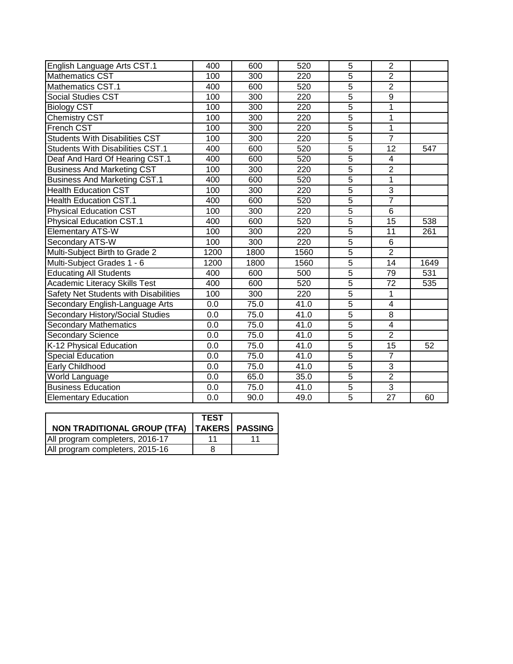| English Language Arts CST.1             | 400  | 600              | 520  | 5              | $\overline{2}$  |      |
|-----------------------------------------|------|------------------|------|----------------|-----------------|------|
| Mathematics CST                         | 100  | 300              | 220  | 5              | $\overline{2}$  |      |
| Mathematics CST.1                       | 400  | 600              | 520  | $\overline{5}$ | $\overline{2}$  |      |
| <b>Social Studies CST</b>               | 100  | 300              | 220  | $\overline{5}$ | $\overline{9}$  |      |
| <b>Biology CST</b>                      | 100  | $\overline{3}00$ | 220  | $\overline{5}$ | 1               |      |
| <b>Chemistry CST</b>                    | 100  | 300              | 220  | $\overline{5}$ | $\overline{1}$  |      |
| <b>French CST</b>                       | 100  | 300              | 220  | $\overline{5}$ | $\overline{1}$  |      |
| <b>Students With Disabilities CST</b>   | 100  | 300              | 220  | $\overline{5}$ | $\overline{7}$  |      |
| <b>Students With Disabilities CST.1</b> | 400  | 600              | 520  | $\overline{5}$ | 12              | 547  |
| Deaf And Hard Of Hearing CST.1          | 400  | 600              | 520  | $\overline{5}$ | 4               |      |
| <b>Business And Marketing CST</b>       | 100  | 300              | 220  | $\overline{5}$ | $\overline{2}$  |      |
| <b>Business And Marketing CST.1</b>     | 400  | 600              | 520  | $\overline{5}$ | $\overline{1}$  |      |
| <b>Health Education CST</b>             | 100  | 300              | 220  | $\overline{5}$ | $\overline{3}$  |      |
| <b>Health Education CST.1</b>           | 400  | 600              | 520  | $\overline{5}$ | $\overline{7}$  |      |
| <b>Physical Education CST</b>           | 100  | 300              | 220  | $\overline{5}$ | 6               |      |
| <b>Physical Education CST.1</b>         | 400  | 600              | 520  | $\overline{5}$ | 15              | 538  |
| <b>Elementary ATS-W</b>                 | 100  | 300              | 220  | $\overline{5}$ | 11              | 261  |
| Secondary ATS-W                         | 100  | 300              | 220  | $\overline{5}$ | 6               |      |
| Multi-Subject Birth to Grade 2          | 1200 | 1800             | 1560 | $\overline{5}$ | $\overline{2}$  |      |
| Multi-Subject Grades 1 - 6              | 1200 | 1800             | 1560 | $\overline{5}$ | 14              | 1649 |
| <b>Educating All Students</b>           | 400  | 600              | 500  | $\overline{5}$ | 79              | 531  |
| <b>Academic Literacy Skills Test</b>    | 400  | 600              | 520  | $\overline{5}$ | $\overline{72}$ | 535  |
| Safety Net Students with Disabilities   | 100  | 300              | 220  | $\overline{5}$ | 1               |      |
| Secondary English-Language Arts         | 0.0  | 75.0             | 41.0 | $\overline{5}$ | $\overline{4}$  |      |
| Secondary History/Social Studies        | 0.0  | 75.0             | 41.0 | $\overline{5}$ | $\overline{8}$  |      |
| Secondary Mathematics                   | 0.0  | 75.0             | 41.0 | $\overline{5}$ | $\overline{4}$  |      |
| Secondary Science                       | 0.0  | 75.0             | 41.0 | $\overline{5}$ | $\overline{2}$  |      |
| K-12 Physical Education                 | 0.0  | 75.0             | 41.0 | $\overline{5}$ | 15              | 52   |
| <b>Special Education</b>                | 0.0  | 75.0             | 41.0 | $\overline{5}$ | $\overline{7}$  |      |
| Early Childhood                         | 0.0  | 75.0             | 41.0 | $\overline{5}$ | $\overline{3}$  |      |
| World Language                          | 0.0  | 65.0             | 35.0 | $\overline{5}$ | $\overline{2}$  |      |
| <b>Business Education</b>               | 0.0  | 75.0             | 41.0 | $\overline{5}$ | $\overline{3}$  |      |
| <b>Elementary Education</b>             | 0.0  | 90.0             | 49.0 | $\overline{5}$ | $\overline{27}$ | 60   |
|                                         |      |                  |      |                |                 |      |

|                                                | <b>TEST</b> |  |
|------------------------------------------------|-------------|--|
| NON TRADITIONAL GROUP (TFA)   TAKERS   PASSING |             |  |
| All program completers, 2016-17                |             |  |
| All program completers, 2015-16                |             |  |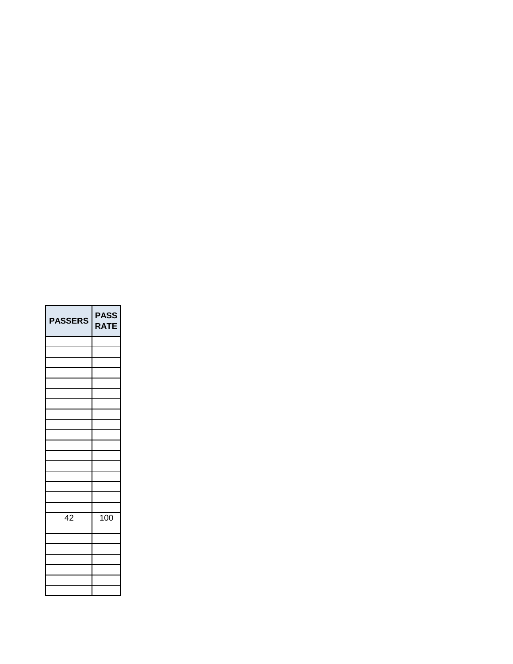| <b>PASSERS</b> | <b>PASS</b><br>RATE |
|----------------|---------------------|
|                |                     |
|                |                     |
|                |                     |
|                |                     |
|                |                     |
|                |                     |
|                |                     |
|                |                     |
|                |                     |
|                |                     |
|                |                     |
|                |                     |
|                |                     |
|                |                     |
|                |                     |
|                |                     |
| 42             | 100                 |
|                |                     |
|                |                     |
|                |                     |
|                |                     |
|                |                     |
|                |                     |
|                |                     |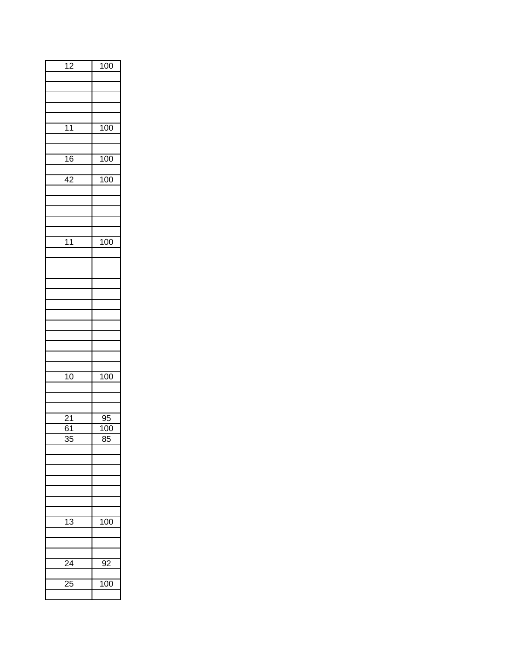| $\overline{12}$ | 100              |
|-----------------|------------------|
|                 |                  |
|                 |                  |
|                 |                  |
|                 |                  |
|                 |                  |
| $\overline{11}$ | $\overline{100}$ |
|                 |                  |
|                 |                  |
| 16              | 100              |
|                 |                  |
| $\overline{42}$ | 100              |
|                 |                  |
|                 |                  |
|                 |                  |
|                 |                  |
|                 |                  |
| $\overline{11}$ | 100              |
|                 |                  |
|                 |                  |
|                 |                  |
|                 |                  |
|                 |                  |
|                 |                  |
|                 |                  |
|                 |                  |
|                 |                  |
|                 |                  |
|                 |                  |
| $\overline{10}$ | 100              |
|                 |                  |
|                 |                  |
|                 |                  |
| $\overline{21}$ | $\frac{95}{95}$  |
| $\overline{61}$ | $\overline{100}$ |
| 35              | 85               |
|                 |                  |
|                 |                  |
|                 |                  |
|                 |                  |
|                 |                  |
|                 |                  |
|                 |                  |
| $\overline{13}$ | $\overline{100}$ |
|                 |                  |
|                 |                  |
|                 |                  |
| 24              | 92               |
|                 |                  |
| $\frac{25}{2}$  | 100              |
|                 |                  |